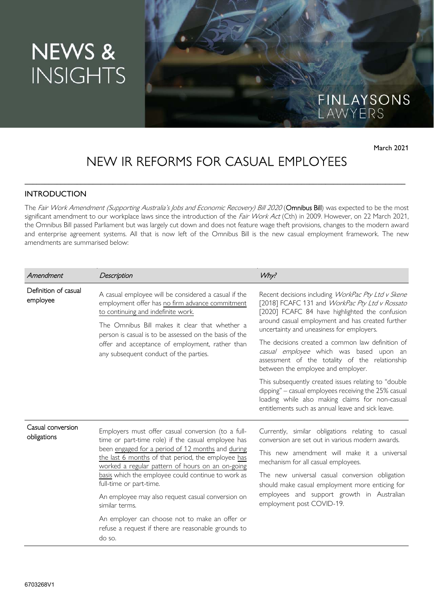# NEWS & **INSIGHTS**

FINLAYSONS<br>LAWYERS

March 2021

# NEW IR REFORMS FOR CASUAL EMPLOYEES

\_\_\_\_\_\_\_\_\_\_\_\_\_\_\_\_\_\_\_\_\_\_\_\_\_\_\_\_\_\_\_\_\_\_\_\_\_\_\_\_\_\_\_\_\_\_\_\_\_\_\_\_\_\_\_\_\_\_\_\_\_\_\_\_\_\_\_\_\_\_\_\_\_\_\_\_\_\_\_\_\_\_\_\_\_\_\_\_\_\_\_\_\_\_\_

### **INTRODUCTION**

The Fair Work Amendment (Supporting Australia's Jobs and Economic Recovery) Bill 2020 (Omnibus Bill) was expected to be the most significant amendment to our workplace laws since the introduction of the Fair Work Act (Cth) in 2009. However, on 22 March 2021, the Omnibus Bill passed Parliament but was largely cut down and does not feature wage theft provisions, changes to the modern award and enterprise agreement systems. All that is now left of the Omnibus Bill is the new casual employment framework. The new amendments are summarised below:

| Amendment                        | Description                                                                                                                                                                                                                                                                                                                                                                                                                     | Why?                                                                                                                                                                                                                                                                                                                                                                        |
|----------------------------------|---------------------------------------------------------------------------------------------------------------------------------------------------------------------------------------------------------------------------------------------------------------------------------------------------------------------------------------------------------------------------------------------------------------------------------|-----------------------------------------------------------------------------------------------------------------------------------------------------------------------------------------------------------------------------------------------------------------------------------------------------------------------------------------------------------------------------|
| Definition of casual<br>employee | A casual employee will be considered a casual if the<br>employment offer has no firm advance commitment<br>to continuing and indefinite work.<br>The Omnibus Bill makes it clear that whether a<br>person is casual is to be assessed on the basis of the<br>offer and acceptance of employment, rather than<br>any subsequent conduct of the parties.                                                                          | Recent decisions including WorkPac Pty Ltd v Skene<br>[2018] FCAFC 131 and WorkPac Pty Ltd v Rossato<br>[2020] FCAFC 84 have highlighted the confusion<br>around casual employment and has created further<br>uncertainty and uneasiness for employers.                                                                                                                     |
|                                  |                                                                                                                                                                                                                                                                                                                                                                                                                                 | The decisions created a common law definition of<br>casual employee which was based upon an<br>assessment of the totality of the relationship<br>between the employee and employer.                                                                                                                                                                                         |
|                                  |                                                                                                                                                                                                                                                                                                                                                                                                                                 | This subsequently created issues relating to "double<br>dipping" - casual employees receiving the 25% casual<br>loading while also making claims for non-casual<br>entitlements such as annual leave and sick leave.                                                                                                                                                        |
| Casual conversion<br>obligations | Employers must offer casual conversion (to a full-<br>time or part-time role) if the casual employee has<br>been engaged for a period of 12 months and during<br>the last 6 months of that period, the employee has<br>worked a regular pattern of hours on an on-going<br>basis which the employee could continue to work as<br>full-time or part-time.<br>An employee may also request casual conversion on<br>similar terms. | Currently, similar obligations relating to casual<br>conversion are set out in various modern awards.<br>This new amendment will make it a universal<br>mechanism for all casual employees.<br>The new universal casual conversion obligation<br>should make casual employment more enticing for<br>employees and support growth in Australian<br>employment post COVID-19. |
|                                  | An employer can choose not to make an offer or<br>refuse a request if there are reasonable grounds to<br>do so.                                                                                                                                                                                                                                                                                                                 |                                                                                                                                                                                                                                                                                                                                                                             |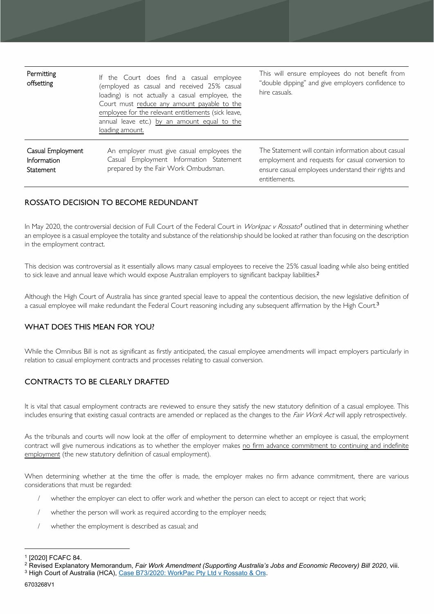| <b>Permitting</b><br>offsetting                             | If the Court does find a casual employee<br>(employed as casual and received 25% casual<br>loading) is not actually a casual employee, the<br>Court must reduce any amount payable to the<br>employee for the relevant entitlements (sick leave,<br>annual leave etc.) by an amount equal to the<br>loading amount. | This will ensure employees do not benefit from<br>"double dipping" and give employers confidence to<br>hire casuals.                                                            |
|-------------------------------------------------------------|---------------------------------------------------------------------------------------------------------------------------------------------------------------------------------------------------------------------------------------------------------------------------------------------------------------------|---------------------------------------------------------------------------------------------------------------------------------------------------------------------------------|
| Casual Employment<br><b>Information</b><br><b>Statement</b> | An employer must give casual employees the<br>Casual Employment Information Statement<br>prepared by the Fair Work Ombudsman.                                                                                                                                                                                       | The Statement will contain information about casual<br>employment and requests for casual conversion to<br>ensure casual employees understand their rights and<br>entitlements. |

# ROSSATO DECISION TO BECOME REDUNDANT

In May 2020, the controversial decision of Full Court of the Federal Court in *Workpac v Rossato<sup>1</sup>* outlined that in determining whether an employee is a casual employee the totality and substance of the relationship should be looked at rather than focusing on the description in the employment contract.

This decision was controversial as it essentially allows many casual employees to receive the 25% casual loading while also being entitled to sick leave and annual leave which would expose Australian employers to significant backpay liabilities.<sup>2</sup>

Although the High Court of Australia has since granted special leave to appeal the contentious decision, the new legislative definition of a casual employee will make redundant the Federal Court reasoning including any subsequent affirmation by the High Court.<sup>3</sup>

# WHAT DOES THIS MEAN FOR YOU?

While the Omnibus Bill is not as significant as firstly anticipated, the casual employee amendments will impact employers particularly in relation to casual employment contracts and processes relating to casual conversion.

# CONTRACTS TO BE CLEARLY DRAFTED

It is vital that casual employment contracts are reviewed to ensure they satisfy the new statutory definition of a casual employee. This includes ensuring that existing casual contracts are amended or replaced as the changes to the *Fair Work Act* will apply retrospectively.

As the tribunals and courts will now look at the offer of employment to determine whether an employee is casual, the employment contract will give numerous indications as to whether the employer makes no firm advance commitment to continuing and indefinite employment (the new statutory definition of casual employment).

When determining whether at the time the offer is made, the employer makes no firm advance commitment, there are various considerations that must be regarded:

- whether the employer can elect to offer work and whether the person can elect to accept or reject that work;
- whether the person will work as required according to the employer needs;
- whether the employment is described as casual; and

<sup>1</sup> [2020] FCAFC 84.

<sup>2</sup> Revised Explanatory Memorandum, *Fair Work Amendment (Supporting Australia's Jobs and Economic Recovery) Bill 2020*, viii. <sup>3</sup> High Court of Australia (HCA), Case B73/2020: WorkPac Pty Ltd v Rossato & Ors.